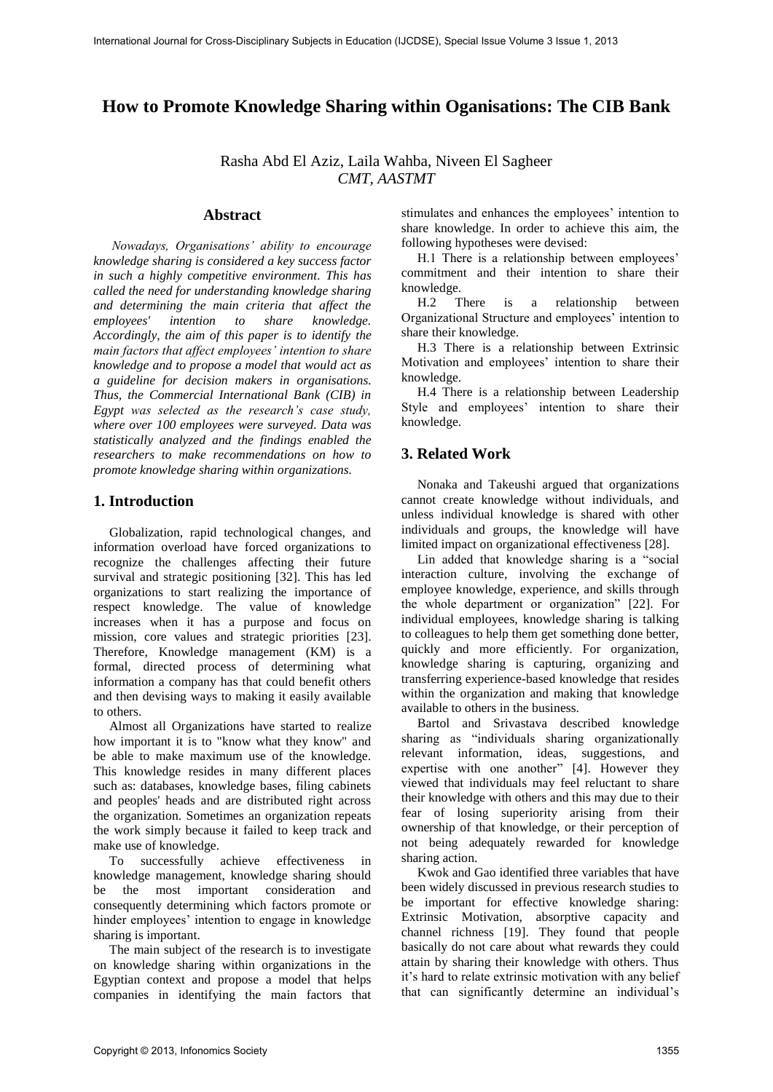# **How to Promote Knowledge Sharing within Oganisations: The CIB Bank**

Rasha Abd El Aziz, Laila Wahba, Niveen El Sagheer *CMT, AASTMT* 

### **Abstract**

*Nowadays, Organisations' ability to encourage knowledge sharing is considered a key success factor in such a highly competitive environment. This has called the need for understanding knowledge sharing and determining the main criteria that affect the to share knowledge. Accordingly, the aim of this paper is to identify the main factors that affect employees' intention to share knowledge and to propose a model that would act as a guideline for decision makers in organisations. Thus, the Commercial International Bank (CIB) in Egypt was selected as the research's case study, where over 100 employees were surveyed. Data was statistically analyzed and the findings enabled the researchers to make recommendations on how to promote knowledge sharing within organizations.* 

### **1. Introduction**

Globalization, rapid technological changes, and information overload have forced organizations to recognize the challenges affecting their future survival and strategic positioning [32]. This has led organizations to start realizing the importance of respect knowledge. The value of knowledge increases when it has a purpose and focus on mission, core values and strategic priorities [23]. Therefore, Knowledge management (KM) is a formal, directed process of determining what information a company has that could benefit others and then devising ways to making it easily available to others.

Almost all Organizations have started to realize how important it is to "know what they know" and be able to make maximum use of the knowledge. This knowledge resides in many different places such as: databases, knowledge bases, filing cabinets and peoples' heads and are distributed right across the organization. Sometimes an organization repeats the work simply because it failed to keep track and make use of knowledge.

To successfully achieve effectiveness in knowledge management, knowledge sharing should be the most important consideration and consequently determining which factors promote or hinder employees' intention to engage in knowledge sharing is important.

The main subject of the research is to investigate on knowledge sharing within organizations in the Egyptian context and propose a model that helps companies in identifying the main factors that stimulates and enhances the employees' intention to share knowledge. In order to achieve this aim, the following hypotheses were devised:

H.1 There is a relationship between employees' commitment and their intention to share their knowledge.

H.2 There is a relationship between Organizational Structure and employees' intention to share their knowledge.

H.3 There is a relationship between Extrinsic Motivation and employees' intention to share their knowledge.

H.4 There is a relationship between Leadership Style and employees' intention to share their knowledge.

## **3. Related Work**

Nonaka and Takeushi argued that organizations cannot create knowledge without individuals, and unless individual knowledge is shared with other individuals and groups, the knowledge will have limited impact on organizational effectiveness [28].

Lin added that knowledge sharing is a "social interaction culture, involving the exchange of employee knowledge, experience, and skills through the whole department or organization" [22]. For individual employees, knowledge sharing is talking to colleagues to help them get something done better, quickly and more efficiently. For organization, knowledge sharing is capturing, organizing and transferring experience-based knowledge that resides within the organization and making that knowledge available to others in the business.

Bartol and Srivastava described knowledge sharing as "individuals sharing organizationally relevant information, ideas, suggestions, and expertise with one another" [4]. However they viewed that individuals may feel reluctant to share their knowledge with others and this may due to their fear of losing superiority arising from their ownership of that knowledge, or their perception of not being adequately rewarded for knowledge sharing action.

Kwok and Gao identified three variables that have been widely discussed in previous research studies to be important for effective knowledge sharing: Extrinsic Motivation, absorptive capacity and channel richness [19]. They found that people basically do not care about what rewards they could attain by sharing their knowledge with others. Thus it's hard to relate extrinsic motivation with any belief that can significantly determine an individual's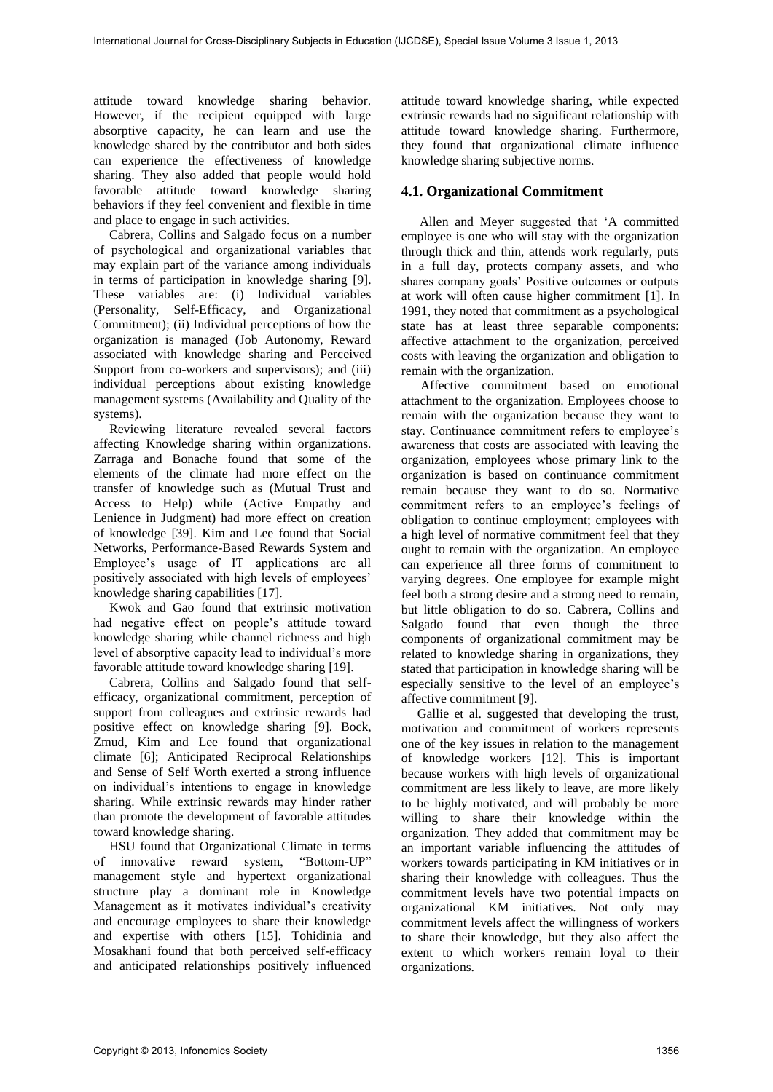attitude toward knowledge sharing behavior. However, if the recipient equipped with large absorptive capacity, he can learn and use the knowledge shared by the contributor and both sides can experience the effectiveness of knowledge sharing. They also added that people would hold favorable attitude toward knowledge sharing behaviors if they feel convenient and flexible in time and place to engage in such activities.

Cabrera, Collins and Salgado focus on a number of psychological and organizational variables that may explain part of the variance among individuals in terms of participation in knowledge sharing [9]. These variables are: (i) Individual variables (Personality, Self-Efficacy, and Organizational Commitment); (ii) Individual perceptions of how the organization is managed (Job Autonomy, Reward associated with knowledge sharing and Perceived Support from co-workers and supervisors); and (iii) individual perceptions about existing knowledge management systems (Availability and Quality of the systems).

Reviewing literature revealed several factors affecting Knowledge sharing within organizations. Zarraga and Bonache found that some of the elements of the climate had more effect on the transfer of knowledge such as (Mutual Trust and Access to Help) while (Active Empathy and Lenience in Judgment) had more effect on creation of knowledge [39]. Kim and Lee found that Social Networks, Performance-Based Rewards System and Employee's usage of IT applications are all positively associated with high levels of employees' knowledge sharing capabilities [17].

Kwok and Gao found that extrinsic motivation had negative effect on people's attitude toward knowledge sharing while channel richness and high level of absorptive capacity lead to individual's more favorable attitude toward knowledge sharing [19].

Cabrera, Collins and Salgado found that selfefficacy, organizational commitment, perception of support from colleagues and extrinsic rewards had positive effect on knowledge sharing [9]. Bock, Zmud, Kim and Lee found that organizational climate [6]; Anticipated Reciprocal Relationships and Sense of Self Worth exerted a strong influence on individual's intentions to engage in knowledge sharing. While extrinsic rewards may hinder rather than promote the development of favorable attitudes toward knowledge sharing.

HSU found that Organizational Climate in terms of innovative reward system, "Bottom-UP" management style and hypertext organizational structure play a dominant role in Knowledge Management as it motivates individual's creativity and encourage employees to share their knowledge and expertise with others [15]. Tohidinia and Mosakhani found that both perceived self-efficacy and anticipated relationships positively influenced

attitude toward knowledge sharing, while expected extrinsic rewards had no significant relationship with attitude toward knowledge sharing. Furthermore, they found that organizational climate influence knowledge sharing subjective norms.

### **4.1. Organizational Commitment**

Allen and Meyer suggested that 'A committed employee is one who will stay with the organization through thick and thin, attends work regularly, puts in a full day, protects company assets, and who shares company goals' Positive outcomes or outputs at work will often cause higher commitment [1]. In 1991, they noted that commitment as a psychological state has at least three separable components: affective attachment to the organization, perceived costs with leaving the organization and obligation to remain with the organization.

 Affective commitment based on emotional attachment to the organization. Employees choose to remain with the organization because they want to stay. Continuance commitment refers to employee's awareness that costs are associated with leaving the organization, employees whose primary link to the organization is based on continuance commitment remain because they want to do so. Normative commitment refers to an employee's feelings of obligation to continue employment; employees with a high level of normative commitment feel that they ought to remain with the organization. An employee can experience all three forms of commitment to varying degrees. One employee for example might feel both a strong desire and a strong need to remain, but little obligation to do so. Cabrera, Collins and Salgado found that even though the three components of organizational commitment may be related to knowledge sharing in organizations, they stated that participation in knowledge sharing will be especially sensitive to the level of an employee's affective commitment [9].

Gallie et al. suggested that developing the trust, motivation and commitment of workers represents one of the key issues in relation to the management of knowledge workers [12]. This is important because workers with high levels of organizational commitment are less likely to leave, are more likely to be highly motivated, and will probably be more willing to share their knowledge within the organization. They added that commitment may be an important variable influencing the attitudes of workers towards participating in KM initiatives or in sharing their knowledge with colleagues. Thus the commitment levels have two potential impacts on organizational KM initiatives. Not only may commitment levels affect the willingness of workers to share their knowledge, but they also affect the extent to which workers remain loyal to their organizations.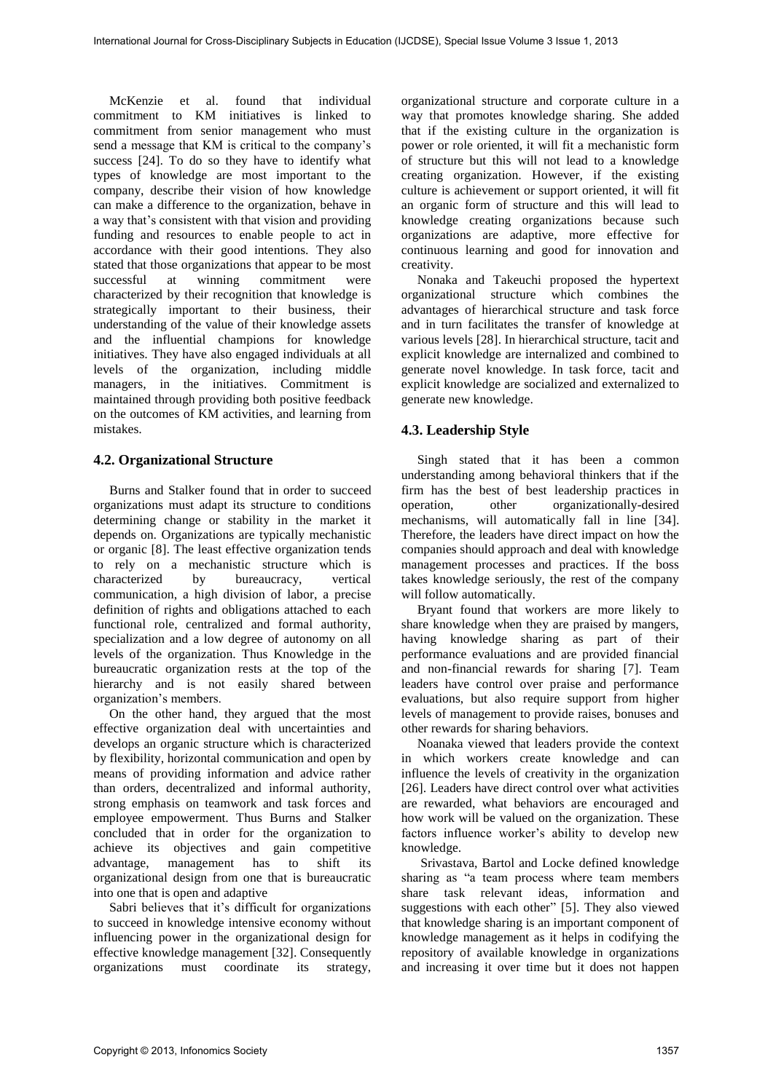McKenzie et al. found that individual commitment to KM initiatives is linked to commitment from senior management who must send a message that KM is critical to the company's success [24]. To do so they have to identify what types of knowledge are most important to the company, describe their vision of how knowledge can make a difference to the organization, behave in a way that's consistent with that vision and providing funding and resources to enable people to act in accordance with their good intentions. They also stated that those organizations that appear to be most successful at winning commitment were characterized by their recognition that knowledge is strategically important to their business, their understanding of the value of their knowledge assets and the influential champions for knowledge initiatives. They have also engaged individuals at all levels of the organization, including middle managers, in the initiatives. Commitment is maintained through providing both positive feedback on the outcomes of KM activities, and learning from mistakes.

### **4.2. Organizational Structure**

Burns and Stalker found that in order to succeed organizations must adapt its structure to conditions determining change or stability in the market it depends on. Organizations are typically mechanistic or organic [8]. The least effective organization tends to rely on a mechanistic structure which is characterized by bureaucracy, vertical communication, a high division of labor, a precise definition of rights and obligations attached to each functional role, centralized and formal authority, specialization and a low degree of autonomy on all levels of the organization. Thus Knowledge in the bureaucratic organization rests at the top of the hierarchy and is not easily shared between organization's members.

On the other hand, they argued that the most effective organization deal with uncertainties and develops an organic structure which is characterized by flexibility, horizontal communication and open by means of providing information and advice rather than orders, decentralized and informal authority, strong emphasis on teamwork and task forces and employee empowerment. Thus Burns and Stalker concluded that in order for the organization to achieve its objectives and gain competitive advantage, management has to shift its organizational design from one that is bureaucratic into one that is open and adaptive

Sabri believes that it's difficult for organizations to succeed in knowledge intensive economy without influencing power in the organizational design for effective knowledge management [32]. Consequently organizations must coordinate its strategy,

organizational structure and corporate culture in a way that promotes knowledge sharing. She added that if the existing culture in the organization is power or role oriented, it will fit a mechanistic form of structure but this will not lead to a knowledge creating organization. However, if the existing culture is achievement or support oriented, it will fit an organic form of structure and this will lead to knowledge creating organizations because such organizations are adaptive, more effective for continuous learning and good for innovation and creativity.

Nonaka and Takeuchi proposed the hypertext organizational structure which combines the advantages of hierarchical structure and task force and in turn facilitates the transfer of knowledge at various levels [28]. In hierarchical structure, tacit and explicit knowledge are internalized and combined to generate novel knowledge. In task force, tacit and explicit knowledge are socialized and externalized to generate new knowledge.

## **4.3. Leadership Style**

Singh stated that it has been a common understanding among behavioral thinkers that if the firm has the best of best leadership practices in operation, other organizationally-desired mechanisms, will automatically fall in line [34]. Therefore, the leaders have direct impact on how the companies should approach and deal with knowledge management processes and practices. If the boss takes knowledge seriously, the rest of the company will follow automatically.

Bryant found that workers are more likely to share knowledge when they are praised by mangers, having knowledge sharing as part of their performance evaluations and are provided financial and non-financial rewards for sharing [7]. Team leaders have control over praise and performance evaluations, but also require support from higher levels of management to provide raises, bonuses and other rewards for sharing behaviors.

Noanaka viewed that leaders provide the context in which workers create knowledge and can influence the levels of creativity in the organization [26]. Leaders have direct control over what activities are rewarded, what behaviors are encouraged and how work will be valued on the organization. These factors influence worker's ability to develop new knowledge.

 Srivastava, Bartol and Locke defined knowledge sharing as "a team process where team members share task relevant ideas, information and suggestions with each other" [5]. They also viewed that knowledge sharing is an important component of knowledge management as it helps in codifying the repository of available knowledge in organizations and increasing it over time but it does not happen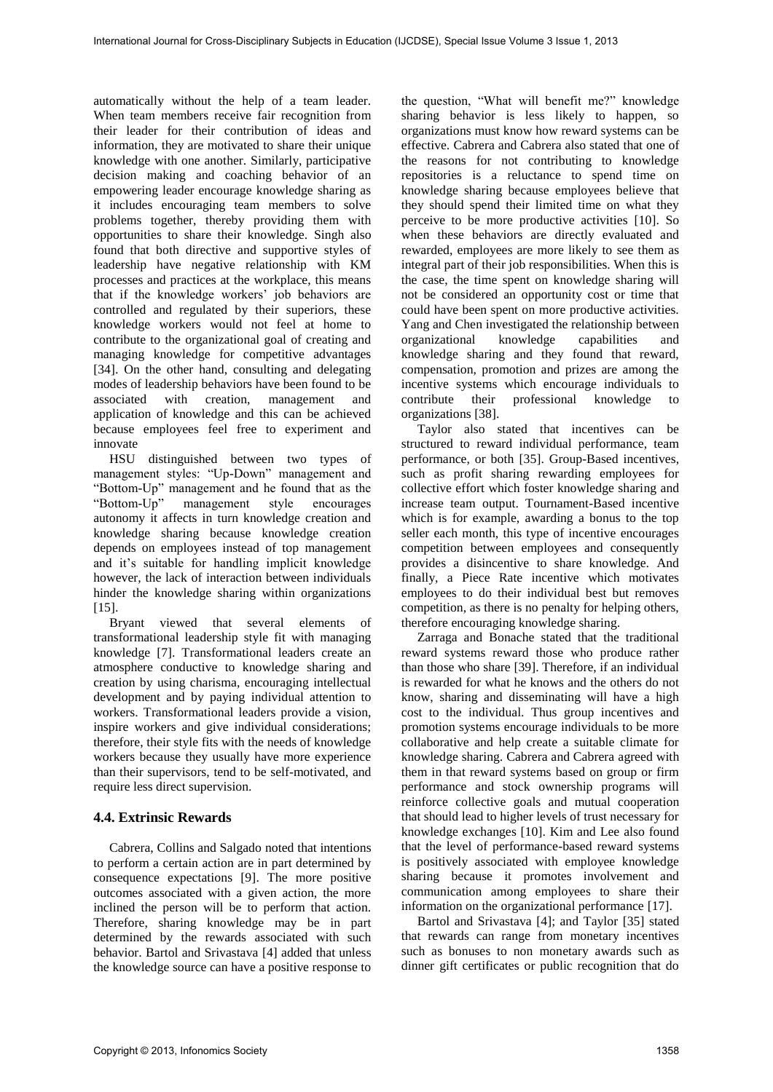automatically without the help of a team leader. When team members receive fair recognition from their leader for their contribution of ideas and information, they are motivated to share their unique knowledge with one another. Similarly, participative decision making and coaching behavior of an empowering leader encourage knowledge sharing as it includes encouraging team members to solve problems together, thereby providing them with opportunities to share their knowledge. Singh also found that both directive and supportive styles of leadership have negative relationship with KM processes and practices at the workplace, this means that if the knowledge workers' job behaviors are controlled and regulated by their superiors, these knowledge workers would not feel at home to contribute to the organizational goal of creating and managing knowledge for competitive advantages [34]. On the other hand, consulting and delegating modes of leadership behaviors have been found to be associated with creation, management and application of knowledge and this can be achieved because employees feel free to experiment and innovate

HSU distinguished between two types of management styles: "Up-Down" management and "Bottom-Up" management and he found that as the "Bottom-Up" management style encourages management autonomy it affects in turn knowledge creation and knowledge sharing because knowledge creation depends on employees instead of top management and it's suitable for handling implicit knowledge however, the lack of interaction between individuals hinder the knowledge sharing within organizations [15].

Bryant viewed that several elements of transformational leadership style fit with managing knowledge [7]. Transformational leaders create an atmosphere conductive to knowledge sharing and creation by using charisma, encouraging intellectual development and by paying individual attention to workers. Transformational leaders provide a vision, inspire workers and give individual considerations; therefore, their style fits with the needs of knowledge workers because they usually have more experience than their supervisors, tend to be self-motivated, and require less direct supervision.

### **4.4. Extrinsic Rewards**

Cabrera, Collins and Salgado noted that intentions to perform a certain action are in part determined by consequence expectations [9]. The more positive outcomes associated with a given action, the more inclined the person will be to perform that action. Therefore, sharing knowledge may be in part determined by the rewards associated with such behavior. Bartol and Srivastava [4] added that unless the knowledge source can have a positive response to

the question, "What will benefit me?" knowledge sharing behavior is less likely to happen, so organizations must know how reward systems can be effective. Cabrera and Cabrera also stated that one of the reasons for not contributing to knowledge repositories is a reluctance to spend time on knowledge sharing because employees believe that they should spend their limited time on what they perceive to be more productive activities [10]. So when these behaviors are directly evaluated and rewarded, employees are more likely to see them as integral part of their job responsibilities. When this is the case, the time spent on knowledge sharing will not be considered an opportunity cost or time that could have been spent on more productive activities. Yang and Chen investigated the relationship between organizational knowledge capabilities and knowledge sharing and they found that reward, compensation, promotion and prizes are among the incentive systems which encourage individuals to contribute their professional knowledge to organizations [38].

Taylor also stated that incentives can be structured to reward individual performance, team performance, or both [35]. Group-Based incentives, such as profit sharing rewarding employees for collective effort which foster knowledge sharing and increase team output. Tournament-Based incentive which is for example, awarding a bonus to the top seller each month, this type of incentive encourages competition between employees and consequently provides a disincentive to share knowledge. And finally, a Piece Rate incentive which motivates employees to do their individual best but removes competition, as there is no penalty for helping others, therefore encouraging knowledge sharing.

Zarraga and Bonache stated that the traditional reward systems reward those who produce rather than those who share [39]. Therefore, if an individual is rewarded for what he knows and the others do not know, sharing and disseminating will have a high cost to the individual. Thus group incentives and promotion systems encourage individuals to be more collaborative and help create a suitable climate for knowledge sharing. Cabrera and Cabrera agreed with them in that reward systems based on group or firm performance and stock ownership programs will reinforce collective goals and mutual cooperation that should lead to higher levels of trust necessary for knowledge exchanges [10]. Kim and Lee also found that the level of performance-based reward systems is positively associated with employee knowledge sharing because it promotes involvement and communication among employees to share their information on the organizational performance [17].

Bartol and Srivastava [4]; and Taylor [35] stated that rewards can range from monetary incentives such as bonuses to non monetary awards such as dinner gift certificates or public recognition that do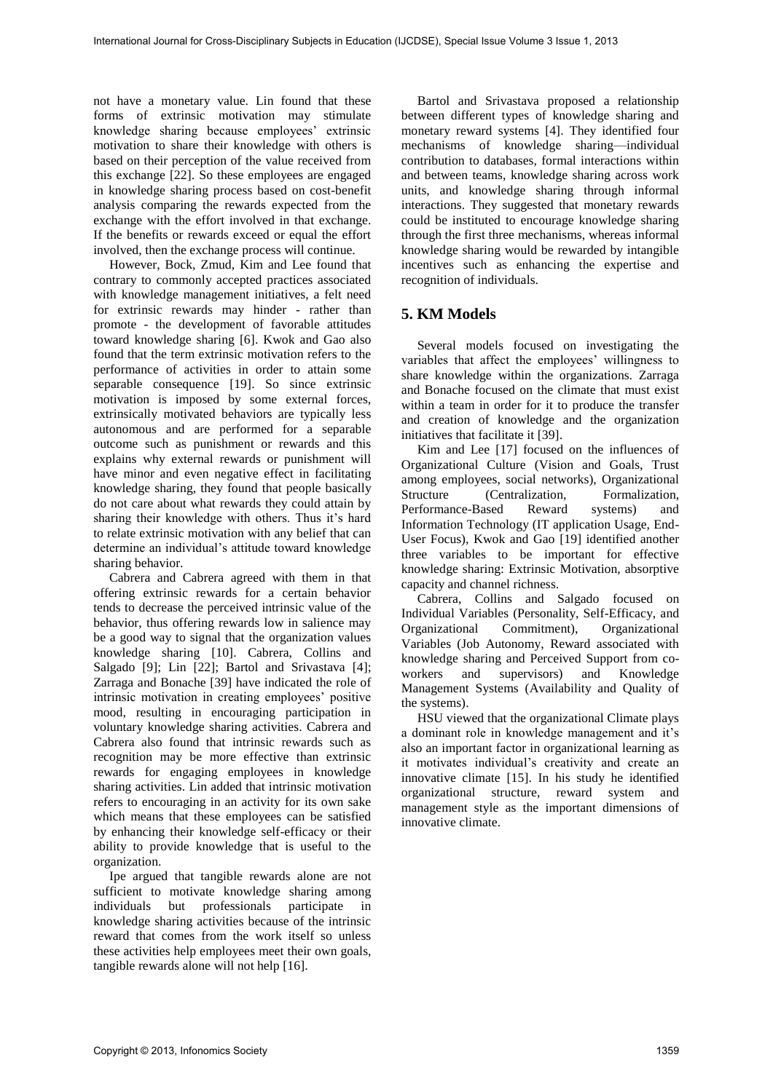not have a monetary value. Lin found that these forms of extrinsic motivation may stimulate knowledge sharing because employees' extrinsic motivation to share their knowledge with others is based on their perception of the value received from this exchange [22]. So these employees are engaged in knowledge sharing process based on cost-benefit analysis comparing the rewards expected from the exchange with the effort involved in that exchange. If the benefits or rewards exceed or equal the effort involved, then the exchange process will continue.

However, Bock, Zmud, Kim and Lee found that contrary to commonly accepted practices associated with knowledge management initiatives, a felt need for extrinsic rewards may hinder - rather than promote - the development of favorable attitudes toward knowledge sharing [6]. Kwok and Gao also found that the term extrinsic motivation refers to the performance of activities in order to attain some separable consequence [19]. So since extrinsic motivation is imposed by some external forces, extrinsically motivated behaviors are typically less autonomous and are performed for a separable outcome such as punishment or rewards and this explains why external rewards or punishment will have minor and even negative effect in facilitating knowledge sharing, they found that people basically do not care about what rewards they could attain by sharing their knowledge with others. Thus it's hard to relate extrinsic motivation with any belief that can determine an individual's attitude toward knowledge sharing behavior.

Cabrera and Cabrera agreed with them in that offering extrinsic rewards for a certain behavior tends to decrease the perceived intrinsic value of the behavior, thus offering rewards low in salience may be a good way to signal that the organization values knowledge sharing [10]. Cabrera, Collins and Salgado [9]; Lin [22]; Bartol and Srivastava [4]; Zarraga and Bonache [39] have indicated the role of intrinsic motivation in creating employees' positive mood, resulting in encouraging participation in voluntary knowledge sharing activities. Cabrera and Cabrera also found that intrinsic rewards such as recognition may be more effective than extrinsic rewards for engaging employees in knowledge sharing activities. Lin added that intrinsic motivation refers to encouraging in an activity for its own sake which means that these employees can be satisfied by enhancing their knowledge self-efficacy or their ability to provide knowledge that is useful to the organization.

Ipe argued that tangible rewards alone are not sufficient to motivate knowledge sharing among individuals but professionals participate in knowledge sharing activities because of the intrinsic reward that comes from the work itself so unless these activities help employees meet their own goals, tangible rewards alone will not help [16].

Bartol and Srivastava proposed a relationship between different types of knowledge sharing and monetary reward systems [4]. They identified four mechanisms of knowledge sharing—individual contribution to databases, formal interactions within and between teams, knowledge sharing across work units, and knowledge sharing through informal interactions. They suggested that monetary rewards could be instituted to encourage knowledge sharing through the first three mechanisms, whereas informal knowledge sharing would be rewarded by intangible incentives such as enhancing the expertise and recognition of individuals.

## **5. KM Models**

Several models focused on investigating the variables that affect the employees' willingness to share knowledge within the organizations. Zarraga and Bonache focused on the climate that must exist within a team in order for it to produce the transfer and creation of knowledge and the organization initiatives that facilitate it [39].

Kim and Lee [17] focused on the influences of Organizational Culture (Vision and Goals, Trust among employees, social networks), Organizational Structure (Centralization, Formalization, Performance-Based Reward systems) and Information Technology (IT application Usage, End-User Focus), Kwok and Gao [19] identified another three variables to be important for effective knowledge sharing: Extrinsic Motivation, absorptive capacity and channel richness.

Cabrera, Collins and Salgado focused on Individual Variables (Personality, Self-Efficacy, and Organizational Commitment), Organizational Variables (Job Autonomy, Reward associated with knowledge sharing and Perceived Support from coworkers and supervisors) and Knowledge Management Systems (Availability and Quality of the systems).

HSU viewed that the organizational Climate plays a dominant role in knowledge management and it's also an important factor in organizational learning as it motivates individual's creativity and create an innovative climate [15]. In his study he identified organizational structure, reward system and management style as the important dimensions of innovative climate.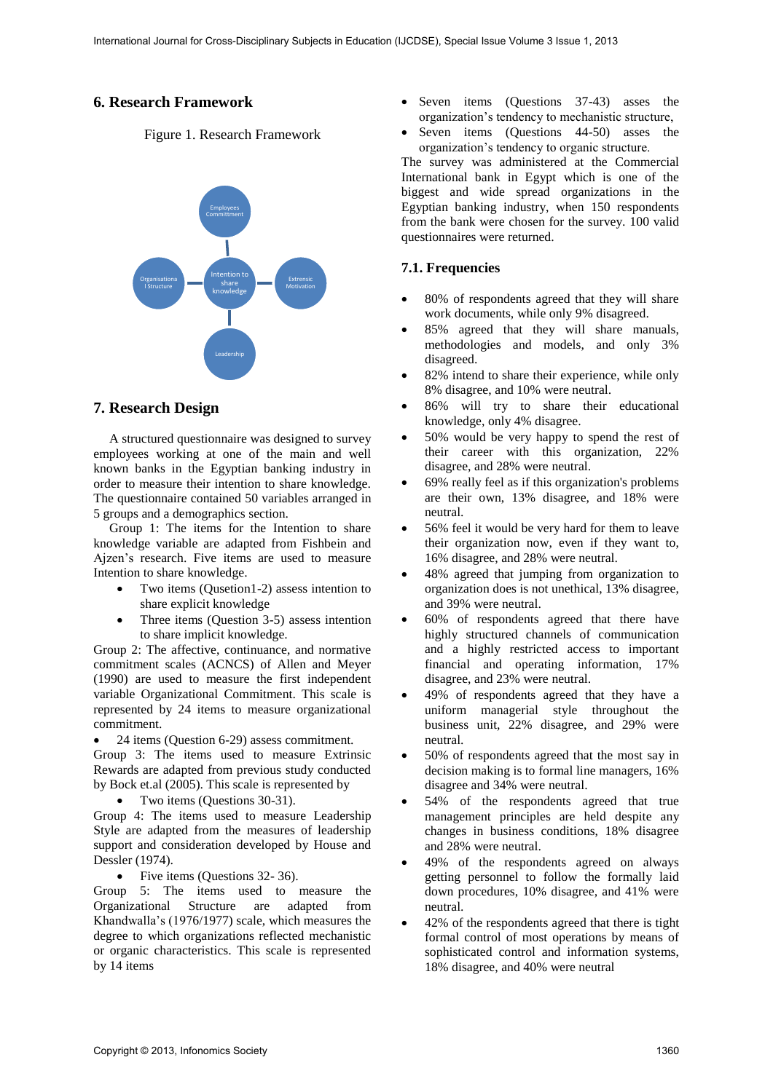## **6. Research Framework**

Figure 1. Research Framework



## **7. Research Design**

A structured questionnaire was designed to survey employees working at one of the main and well known banks in the Egyptian banking industry in order to measure their intention to share knowledge. The questionnaire contained 50 variables arranged in 5 groups and a demographics section.

Group 1: The items for the Intention to share knowledge variable are adapted from Fishbein and Ajzen's research. Five items are used to measure Intention to share knowledge.

- Two items (Qusetion1-2) assess intention to share explicit knowledge
- Three items (Question 3-5) assess intention to share implicit knowledge.

Group 2: The affective, continuance, and normative commitment scales (ACNCS) of Allen and Meyer (1990) are used to measure the first independent variable Organizational Commitment. This scale is represented by 24 items to measure organizational commitment.

24 items (Question 6-29) assess commitment.

Group 3: The items used to measure Extrinsic Rewards are adapted from previous study conducted by Bock et.al (2005). This scale is represented by

• Two items (Questions 30-31).

Group 4: The items used to measure Leadership Style are adapted from the measures of leadership support and consideration developed by House and Dessler (1974).

• Five items (Questions 32-36).

Group 5: The items used to measure the Organizational Structure are adapted from Khandwalla's (1976/1977) scale, which measures the degree to which organizations reflected mechanistic or organic characteristics. This scale is represented by 14 items

- Seven items (Questions 37-43) asses the organization's tendency to mechanistic structure,
- Seven items (Questions 44-50) asses the organization's tendency to organic structure.

The survey was administered at the Commercial International bank in Egypt which is one of the biggest and wide spread organizations in the Egyptian banking industry, when 150 respondents from the bank were chosen for the survey. 100 valid questionnaires were returned.

## **7.1. Frequencies**

- 80% of respondents agreed that they will share work documents, while only 9% disagreed.
- 85% agreed that they will share manuals, methodologies and models, and only 3% disagreed.
- 82% intend to share their experience, while only 8% disagree, and 10% were neutral.
- 86% will try to share their educational knowledge, only 4% disagree.
- 50% would be very happy to spend the rest of their career with this organization, 22% disagree, and 28% were neutral.
- 69% really feel as if this organization's problems are their own, 13% disagree, and 18% were neutral.
- 56% feel it would be very hard for them to leave their organization now, even if they want to, 16% disagree, and 28% were neutral.
- 48% agreed that jumping from organization to organization does is not unethical, 13% disagree, and 39% were neutral.
- 60% of respondents agreed that there have highly structured channels of communication and a highly restricted access to important financial and operating information, 17% disagree, and 23% were neutral.
- 49% of respondents agreed that they have a uniform managerial style throughout the business unit, 22% disagree, and 29% were neutral.
- 50% of respondents agreed that the most say in decision making is to formal line managers, 16% disagree and 34% were neutral.
- 54% of the respondents agreed that true management principles are held despite any changes in business conditions, 18% disagree and 28% were neutral.
- 49% of the respondents agreed on always getting personnel to follow the formally laid down procedures, 10% disagree, and 41% were neutral.
- 42% of the respondents agreed that there is tight formal control of most operations by means of sophisticated control and information systems, 18% disagree, and 40% were neutral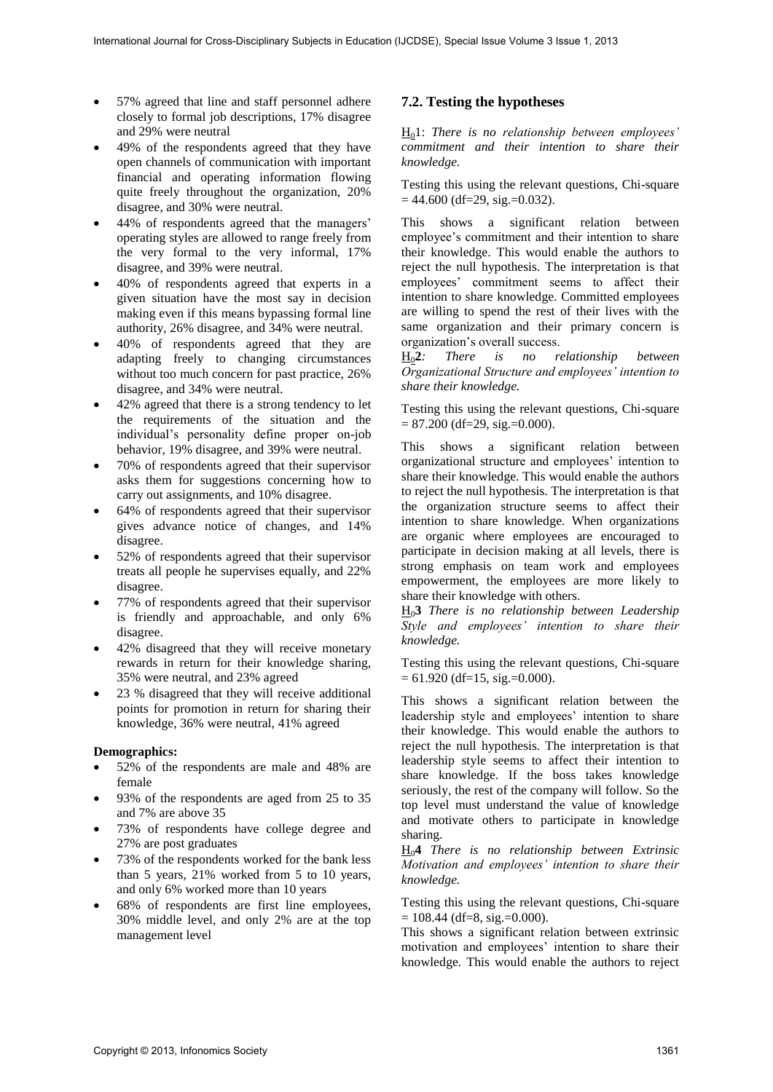- 57% agreed that line and staff personnel adhere closely to formal job descriptions, 17% disagree and 29% were neutral
- 49% of the respondents agreed that they have open channels of communication with important financial and operating information flowing quite freely throughout the organization, 20% disagree, and 30% were neutral.
- 44% of respondents agreed that the managers' operating styles are allowed to range freely from the very formal to the very informal, 17% disagree, and 39% were neutral.
- 40% of respondents agreed that experts in a given situation have the most say in decision making even if this means bypassing formal line authority, 26% disagree, and 34% were neutral.
- 40% of respondents agreed that they are adapting freely to changing circumstances without too much concern for past practice, 26% disagree, and 34% were neutral.
- 42% agreed that there is a strong tendency to let the requirements of the situation and the individual's personality define proper on-job behavior, 19% disagree, and 39% were neutral.
- 70% of respondents agreed that their supervisor asks them for suggestions concerning how to carry out assignments, and 10% disagree.
- 64% of respondents agreed that their supervisor gives advance notice of changes, and 14% disagree.
- 52% of respondents agreed that their supervisor treats all people he supervises equally, and 22% disagree.
- 77% of respondents agreed that their supervisor is friendly and approachable, and only 6% disagree.
- 42% disagreed that they will receive monetary rewards in return for their knowledge sharing, 35% were neutral, and 23% agreed
- 23 % disagreed that they will receive additional points for promotion in return for sharing their knowledge, 36% were neutral, 41% agreed

#### **Demographics:**

- 52% of the respondents are male and 48% are female
- 93% of the respondents are aged from 25 to 35 and 7% are above 35
- 73% of respondents have college degree and 27% are post graduates
- 73% of the respondents worked for the bank less than 5 years, 21% worked from 5 to 10 years, and only 6% worked more than 10 years
- 68% of respondents are first line employees, 30% middle level, and only 2% are at the top management level

### **7.2. Testing the hypotheses**

H01: *There is no relationship between employees' commitment and their intention to share their knowledge.* 

Testing this using the relevant questions, Chi-square  $= 44.600$  (df=29, sig.=0.032).

This shows a significant relation between employee's commitment and their intention to share their knowledge. This would enable the authors to reject the null hypothesis. The interpretation is that employees' commitment seems to affect their intention to share knowledge. Committed employees are willing to spend the rest of their lives with the same organization and their primary concern is

organization's overall success.<br> $\underline{H}_0 2$ : There is no r  $There is no relationship between$ *Organizational Structure and employees' intention to share their knowledge.* 

Testing this using the relevant questions, Chi-square  $= 87.200$  (df=29, sig.=0.000).

This shows a significant relation between organizational structure and employees' intention to share their knowledge. This would enable the authors to reject the null hypothesis. The interpretation is that the organization structure seems to affect their intention to share knowledge. When organizations are organic where employees are encouraged to participate in decision making at all levels, there is strong emphasis on team work and employees empowerment, the employees are more likely to share their knowledge with others.

H0**3** *There is no relationship between Leadership Style and employees' intention to share their knowledge.* 

Testing this using the relevant questions, Chi-square  $= 61.920$  (df=15, sig.=0.000).

This shows a significant relation between the leadership style and employees' intention to share their knowledge. This would enable the authors to reject the null hypothesis. The interpretation is that leadership style seems to affect their intention to share knowledge. If the boss takes knowledge seriously, the rest of the company will follow. So the top level must understand the value of knowledge and motivate others to participate in knowledge sharing.

H0**4** *There is no relationship between Extrinsic Motivation and employees' intention to share their knowledge.* 

Testing this using the relevant questions, Chi-square  $= 108.44$  (df=8, sig.=0.000).

This shows a significant relation between extrinsic motivation and employees' intention to share their knowledge. This would enable the authors to reject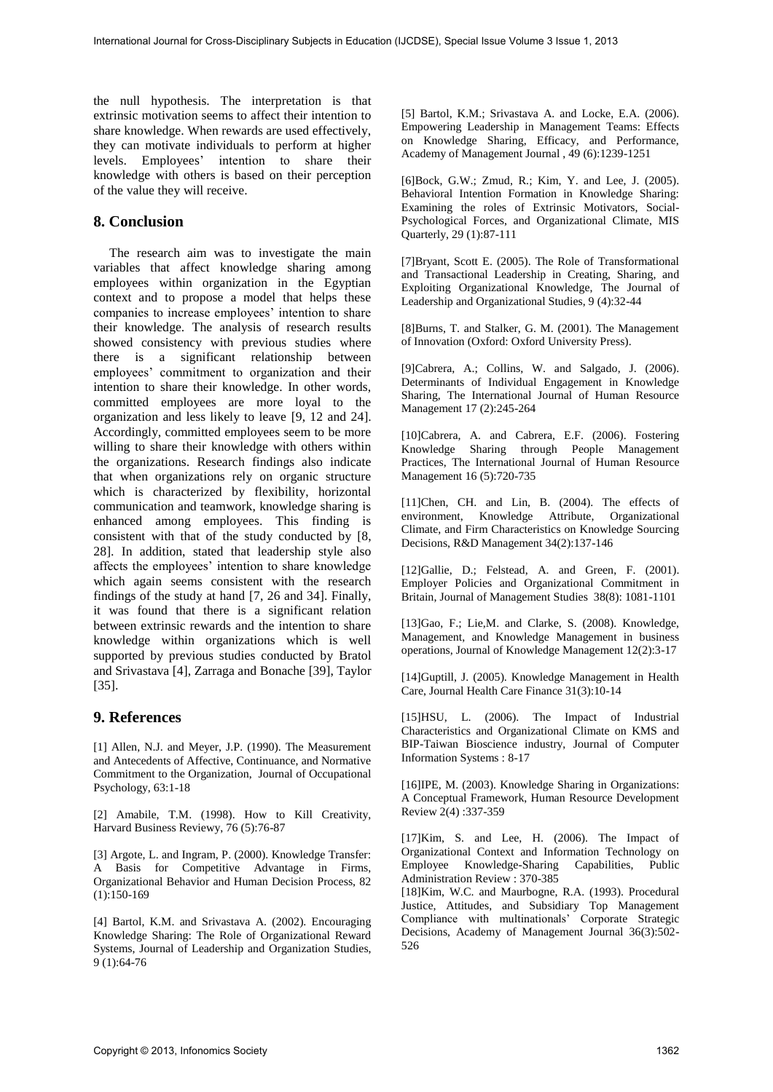the null hypothesis. The interpretation is that extrinsic motivation seems to affect their intention to share knowledge. When rewards are used effectively, they can motivate individuals to perform at higher levels. Employees' intention to share their knowledge with others is based on their perception of the value they will receive.

## **8. Conclusion**

The research aim was to investigate the main variables that affect knowledge sharing among employees within organization in the Egyptian context and to propose a model that helps these companies to increase employees' intention to share their knowledge. The analysis of research results showed consistency with previous studies where there is a significant relationship between employees' commitment to organization and their intention to share their knowledge. In other words, committed employees are more loyal to the organization and less likely to leave [9, 12 and 24]. Accordingly, committed employees seem to be more willing to share their knowledge with others within the organizations. Research findings also indicate that when organizations rely on organic structure which is characterized by flexibility, horizontal communication and teamwork, knowledge sharing is enhanced among employees. This finding is consistent with that of the study conducted by [8, 28]. In addition, stated that leadership style also affects the employees' intention to share knowledge which again seems consistent with the research findings of the study at hand [7, 26 and 34]. Finally, it was found that there is a significant relation between extrinsic rewards and the intention to share knowledge within organizations which is well supported by previous studies conducted by Bratol and Srivastava [4], Zarraga and Bonache [39], Taylor [35].

## **9. References**

[1] Allen, N.J. and Meyer, J.P. (1990). The Measurement and Antecedents of Affective, Continuance, and Normative Commitment to the Organization, Journal of Occupational Psychology, 63:1-18

[2] Amabile, T.M. (1998). How to Kill Creativity, Harvard Business Reviewy, 76 (5):76-87

[3] Argote, L. and Ingram, P. (2000). Knowledge Transfer: A Basis for Competitive Advantage in Firms, Organizational Behavior and Human Decision Process, 82 (1):150-169

[4] Bartol, K.M. and Srivastava A. (2002). Encouraging Knowledge Sharing: The Role of Organizational Reward Systems, Journal of Leadership and Organization Studies, 9 (1):64-76

[5] Bartol, K.M.; Srivastava A. and Locke, E.A. (2006). Empowering Leadership in Management Teams: Effects on Knowledge Sharing, Efficacy, and Performance, Academy of Management Journal , 49 (6):1239-1251

[6]Bock, G.W.; Zmud, R.; Kim, Y. and Lee, J. (2005). Behavioral Intention Formation in Knowledge Sharing: Examining the roles of Extrinsic Motivators, Social-Psychological Forces, and Organizational Climate, MIS Quarterly, 29 (1):87-111

[7]Bryant, Scott E. (2005). The Role of Transformational and Transactional Leadership in Creating, Sharing, and Exploiting Organizational Knowledge, The Journal of Leadership and Organizational Studies, 9 (4):32-44

[8]Burns, T. and Stalker, G. M. (2001). The Management of Innovation (Oxford: Oxford University Press).

[9]Cabrera, A.; Collins, W. and Salgado, J. (2006). Determinants of Individual Engagement in Knowledge Sharing, The International Journal of Human Resource Management 17 (2):245-264

[10]Cabrera, A. and Cabrera, E.F. (2006). Fostering Knowledge Sharing through People Management Practices, The International Journal of Human Resource Management 16 (5):720-735

[11]Chen, CH. and Lin, B. (2004). The effects of environment, Knowledge Attribute, Organizational Climate, and Firm Characteristics on Knowledge Sourcing Decisions, R&D Management 34(2):137-146

[12]Gallie, D.; Felstead, A. and Green, F. (2001). Employer Policies and Organizational Commitment in Britain, Journal of Management Studies 38(8): 1081-1101

[13]Gao, F.; Lie,M. and Clarke, S. (2008). Knowledge, Management, and Knowledge Management in business operations, Journal of Knowledge Management 12(2):3-17

[14]Guptill, J. (2005). Knowledge Management in Health Care, Journal Health Care Finance 31(3):10-14

[15]HSU, L. (2006). The Impact of Industrial Characteristics and Organizational Climate on KMS and BIP-Taiwan Bioscience industry, Journal of Computer Information Systems : 8-17

[16]IPE, M. (2003). Knowledge Sharing in Organizations: A Conceptual Framework, Human Resource Development Review 2(4) :337-359

[17]Kim, S. and Lee, H. (2006). The Impact of Organizational Context and Information Technology on Employee Knowledge-Sharing Capabilities, Public Administration Review : 370-385

[18]Kim, W.C. and Maurbogne, R.A. (1993). Procedural Justice, Attitudes, and Subsidiary Top Management Compliance with multinationals' Corporate Strategic Decisions, Academy of Management Journal 36(3):502- 526